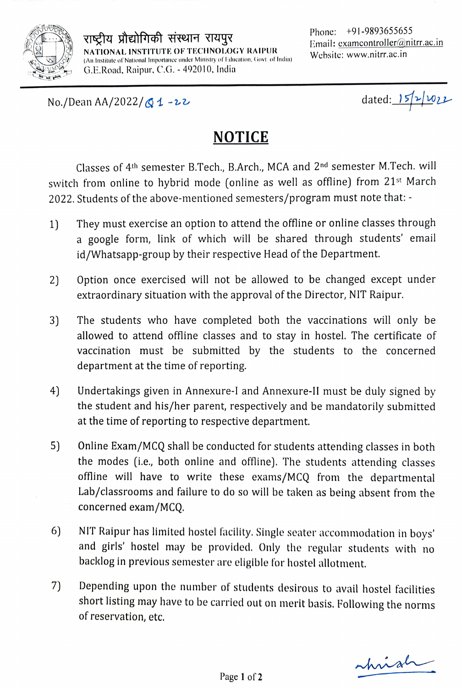

राष्ट्रीय प्रौद्योगिकी संस्थान रायपुर $\mathbf{E}_{\text{mail: examcontroller}(\mathcal{Q}_{\text{nitr.ac.in}})}$ NATIONAL INSTITUTE OF TECHNOLOGY RAIPUR (An Institute of National Importance under Ministry of Education, Govt. of India) G.E.Road, Raipur, C.G, - 492010, India

Phone: +91-9893655655 Website: www.nitrr.ac.in

No./Dean AA/2022/ $\bigotimes$  1 -22 dated:  $\bigotimes$  1/022

# NOTICE

Classes of 4th semester B.Tech., B.Arch., MCA and 2nd semester M.Tech. will switch from online to hybrid mode (online as well as offline) from 21<sup>st</sup> March 2022. Students of the above-mentioned semesters/program must note that:-

- 1) They must exercise an option to attend the offline or online classes through a google form, link of which will be shared through students' email id/Whatsapp-group by their respective Head of the Department.
- 2) Option once exercised will not be allowed to be changed except under extraordinary situation with the approval of the Director, NIT Raipur.
- 3) The students who have completed both the vaccinations will only be allowed to attend offline classes and to stay in hostel. The certificate of vaccination must be submitted by the students to the concerned department at the time of reporting.
- 4) 4) Undertakings given in Annexure-I and Annexure-Il must be duly signed by the student and his/her parent, respectively and be mandatorily submitted at the time of reporting to respective department.
- 5) Online Exam/MCQ shall be conducted for students attending classes in both the modes (i.e., both online and offline). The students attending classes offline will have to write these exams/MCQ from the departmental Lab/classrooms and failure to do so will be taken as being absent from the concerned exam/MCQ.
- 6) NIT Raipur has limited hostel facility. Single seater accommodation in boys'<br>and girls' hostel may be provided. Only the regular students with no backlog in previous semester are eligible for hostel allotment.
- 7) Depending upon the number of students desirous to avail hostel facilities short listing may have to be carried out on merit basis. Following the norms of reservation, etc.

hnia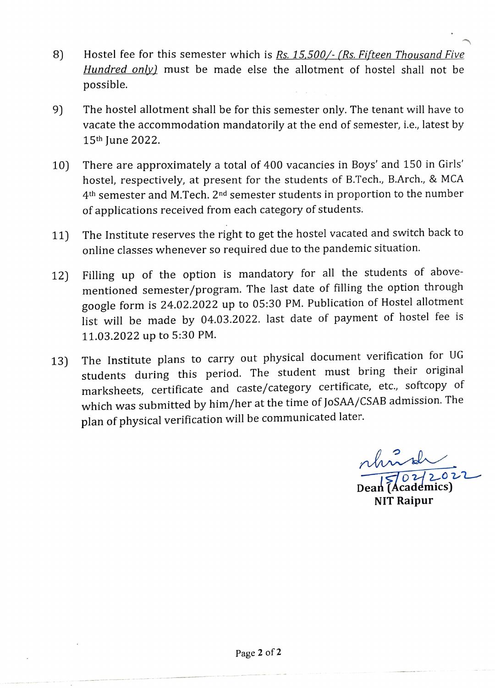- Hostel fee for this semester which is Rs. 15,500/- (Rs. Fifteen Thousand Five Hundred only) must be made else the allotment of hostel shall not be possible. 8)
- 9) The hostel allotment shall be for this semester only. The tenant will have to vacate the accommodation mandatorily at the end of semester, i.e., latest by 15th June 2022.
- 10) There are approximately a total of 400 vacancies in Boys' and 150 in Girls' hostel, respectively, at present for the students of B.Tech., B.Arch., & MCA 4th semester and M.Tech. 2nd semester students in proportion to the number of applications received from each category of students.
- 11) The Institute reserves the right to get the hostel vacated and switch back to online classes whenever so required due to the pandemic situation.
- 12) Filling up of the option is mandatory for all the students of above mentioned semester/program. The last date of filling the option through google form is 24.02.2022 up to 05:30 PM. Publication of Hostel allotment list will be made by 04.03.2022. last date of payment of hostel fee is 11.03.2022 up to 5:30 PM.
- The Institute plans to carry out physical document verification for UG students during this period. The student must bring their original marksheets, certificate and caste/category certificate, etc., softcopy of which was submitted by him/her at the time of JoSAA/CSAB admission. The plan of physical verification will be communicated later. 13)

nhund  $\overbrace{$ Dean (Academics)

NIT Raipur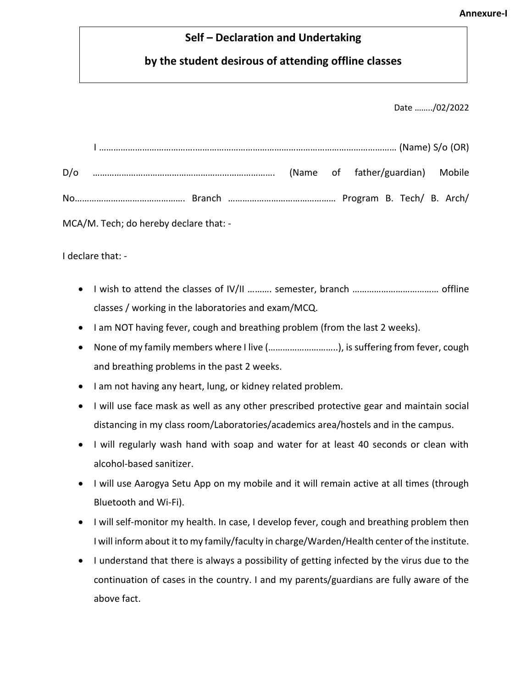#### **Self – Declaration and Undertaking**

## **by the student desirous of attending offline classes**

Date ……../02/2022

| MCA/M. Tech; do hereby declare that: - |  |  |  |  |  |  |  |  |
|----------------------------------------|--|--|--|--|--|--|--|--|

I declare that: -

- I wish to attend the classes of IV/II ………. semester, branch ……………………………… offline classes / working in the laboratories and exam/MCQ.
- I am NOT having fever, cough and breathing problem (from the last 2 weeks).
- None of my family members where I live (………………………..), is suffering from fever, cough and breathing problems in the past 2 weeks.
- I am not having any heart, lung, or kidney related problem.
- I will use face mask as well as any other prescribed protective gear and maintain social distancing in my class room/Laboratories/academics area/hostels and in the campus.
- I will regularly wash hand with soap and water for at least 40 seconds or clean with alcohol-based sanitizer.
- I will use Aarogya Setu App on my mobile and it will remain active at all times (through Bluetooth and Wi-Fi).
- I will self-monitor my health. In case, I develop fever, cough and breathing problem then I will inform about it to my family/faculty in charge/Warden/Health center of the institute.
- I understand that there is always a possibility of getting infected by the virus due to the continuation of cases in the country. I and my parents/guardians are fully aware of the above fact.